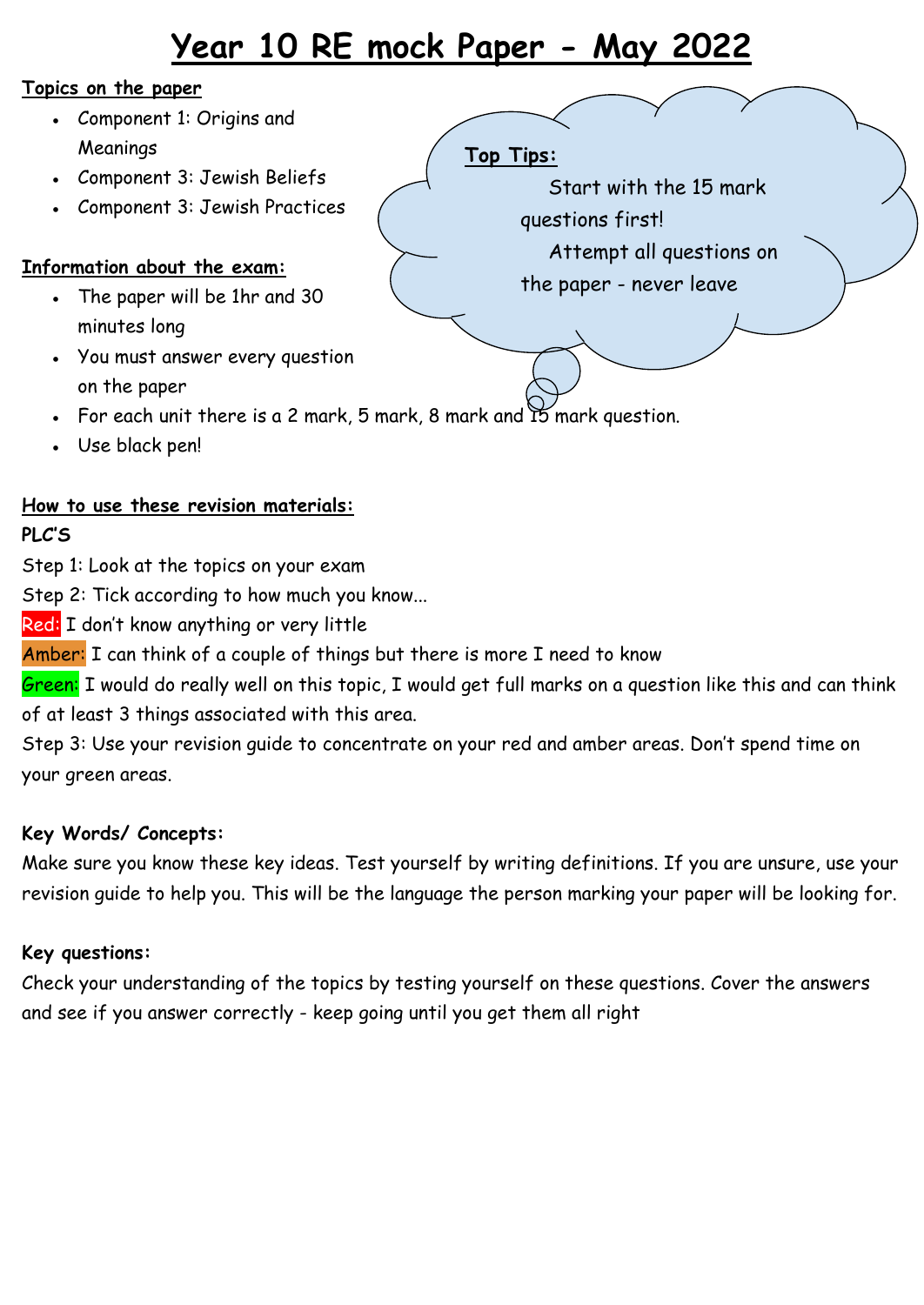# **Year 10 RE mock Paper - May 2022**

#### **Topics on the paper**

- Component 1: Origins and Meanings
- Component 3: Jewish Beliefs
- Component 3: Jewish Practices

## **Information about the exam:**

- $\cdot$  The paper will be 1hr and 30 minutes long
- You must answer every question on the paper
- For each unit there is a 2 mark, 5 mark, 8 mark and  $15$  mark question.
- Use black pen!

## **How to use these revision materials:**

#### **PLC'S**

Step 1: Look at the topics on your exam

Step 2: Tick according to how much you know...

Red: I don't know anything or very little

Amber: I can think of a couple of things but there is more I need to know

Green: I would do really well on this topic, I would get full marks on a question like this and can think of at least 3 things associated with this area.

Step 3: Use your revision guide to concentrate on your red and amber areas. Don't spend time on your green areas.

#### **Key Words/ Concepts:**

Make sure you know these key ideas. Test yourself by writing definitions. If you are unsure, use your revision guide to help you. This will be the language the person marking your paper will be looking for.

#### **Key questions:**

Check your understanding of the topics by testing yourself on these questions. Cover the answers and see if you answer correctly - keep going until you get them all right

### **Top Tips:**

Start with the 15 mark questions first! Attempt all questions on the paper - never leave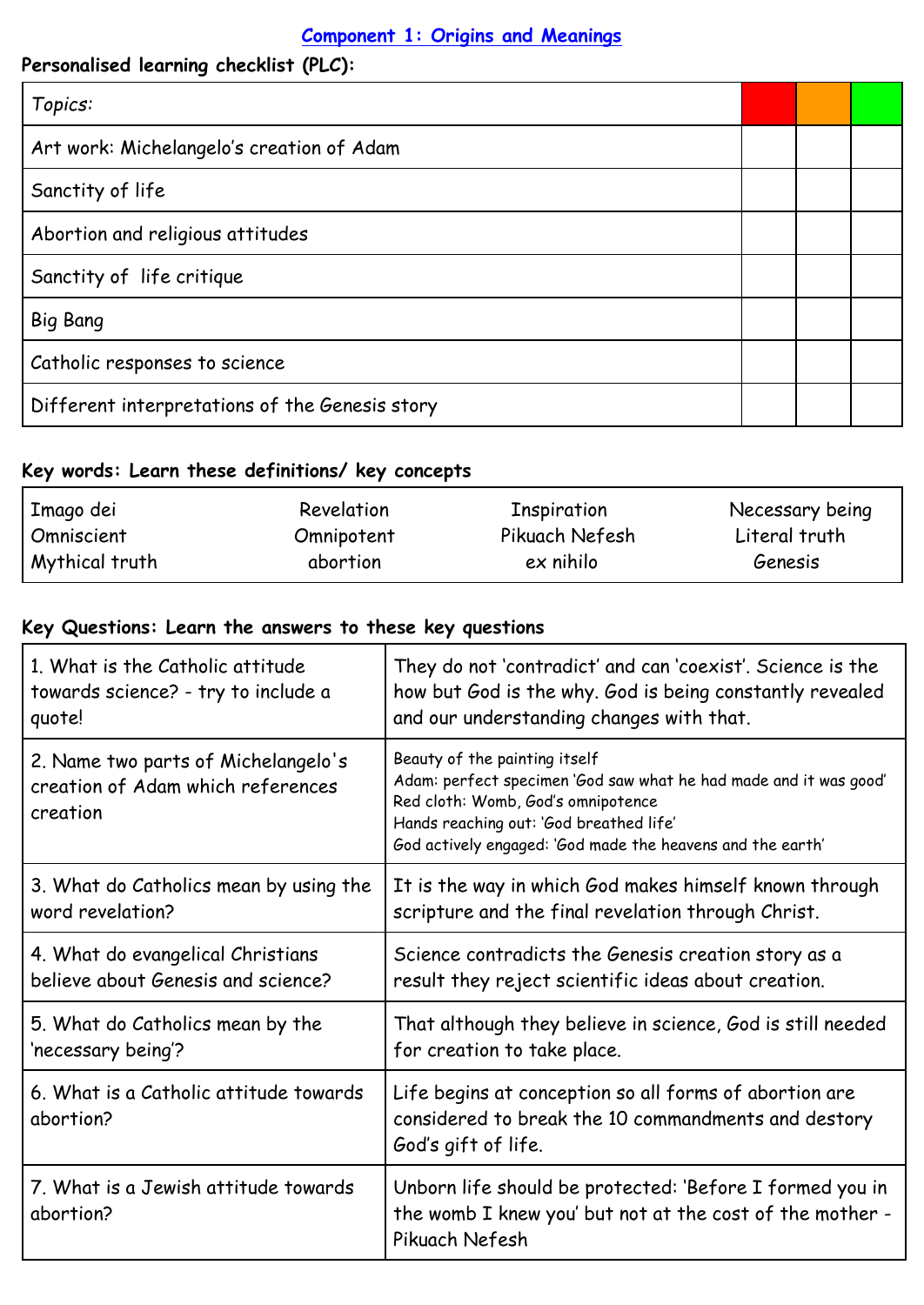## **Component 1: Origins and Meanings**

| Personalised learning checklist (PLC):         |  |  |
|------------------------------------------------|--|--|
| Topics:                                        |  |  |
| Art work: Michelangelo's creation of Adam      |  |  |
| Sanctity of life                               |  |  |
| Abortion and religious attitudes               |  |  |
| Sanctity of life critique                      |  |  |
| <b>Big Bang</b>                                |  |  |
| Catholic responses to science                  |  |  |
| Different interpretations of the Genesis story |  |  |

# **Key words: Learn these definitions/ key concepts**

| Imago dei      | Revelation | Inspiration    | Necessary being |
|----------------|------------|----------------|-----------------|
| Omniscient     | Omnipotent | Pikuach Nefesh | Literal truth   |
| Mythical truth | abortion   | ex nihilo      | Genesis         |

## **Key Questions: Learn the answers to these key questions**

| 1. What is the Catholic attitude                                                     | They do not 'contradict' and can 'coexist'. Science is the                                                                                                                                                                                        |
|--------------------------------------------------------------------------------------|---------------------------------------------------------------------------------------------------------------------------------------------------------------------------------------------------------------------------------------------------|
| towards science? - try to include a                                                  | how but God is the why. God is being constantly revealed                                                                                                                                                                                          |
| quote!                                                                               | and our understanding changes with that.                                                                                                                                                                                                          |
| 2. Name two parts of Michelangelo's<br>creation of Adam which references<br>creation | Beauty of the painting itself<br>Adam: perfect specimen 'God saw what he had made and it was good'<br>Red cloth: Womb, God's omnipotence<br>Hands reaching out: 'God breathed life'<br>God actively engaged: 'God made the heavens and the earth' |
| 3. What do Catholics mean by using the                                               | It is the way in which God makes himself known through                                                                                                                                                                                            |
| word revelation?                                                                     | scripture and the final revelation through Christ.                                                                                                                                                                                                |
| 4. What do evangelical Christians                                                    | Science contradicts the Genesis creation story as a                                                                                                                                                                                               |
| believe about Genesis and science?                                                   | result they reject scientific ideas about creation.                                                                                                                                                                                               |
| 5. What do Catholics mean by the                                                     | That although they believe in science, God is still needed                                                                                                                                                                                        |
| 'necessary being'?                                                                   | for creation to take place.                                                                                                                                                                                                                       |
| 6. What is a Catholic attitude towards<br>abortion?                                  | Life begins at conception so all forms of abortion are<br>considered to break the 10 commandments and destory<br>God's gift of life.                                                                                                              |
| 7. What is a Jewish attitude towards<br>abortion?                                    | Unborn life should be protected: 'Before I formed you in<br>the womb I knew you' but not at the cost of the mother -<br>Pikuach Nefesh                                                                                                            |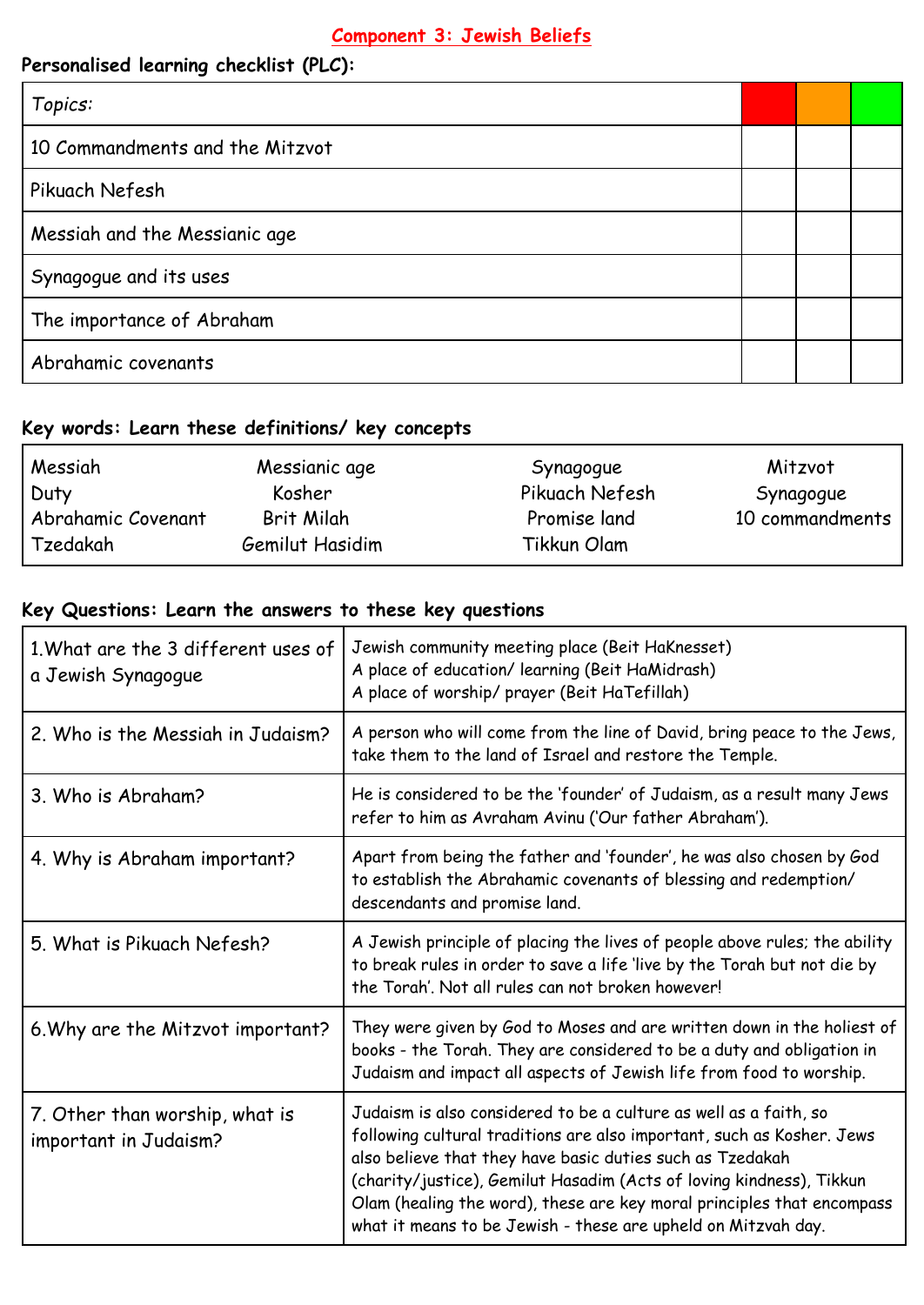# **Component 3: Jewish Beliefs**

# **Personalised learning checklist (PLC):**

| Topics:                         |  |  |
|---------------------------------|--|--|
| 10 Commandments and the Mitzvot |  |  |
| Pikuach Nefesh                  |  |  |
| Messiah and the Messianic age   |  |  |
| Synagogue and its uses          |  |  |
| The importance of Abraham       |  |  |
| Abrahamic covenants             |  |  |

#### **Key words: Learn these definitions/ key concepts**

| Messiah            | Messianic age   | Synagogue      | Mitzvot         |
|--------------------|-----------------|----------------|-----------------|
| Duty               | Kosher          | Pikuach Nefesh | Synagogue       |
| Abrahamic Covenant | Brit Milah      | Promise land   | 10 commandments |
| Tzedakah           | Gemilut Hasidim | Tikkun Olam    |                 |

## **Key Questions: Learn the answers to these key questions**

| 1. What are the 3 different uses of<br>a Jewish Synagogue | Jewish community meeting place (Beit HaKnesset)<br>A place of education/ learning (Beit HaMidrash)<br>A place of worship/ prayer (Beit HaTefillah)                                                                                                                                                                                                                                                                          |
|-----------------------------------------------------------|-----------------------------------------------------------------------------------------------------------------------------------------------------------------------------------------------------------------------------------------------------------------------------------------------------------------------------------------------------------------------------------------------------------------------------|
| 2. Who is the Messiah in Judaism?                         | A person who will come from the line of David, bring peace to the Jews,<br>take them to the land of Israel and restore the Temple.                                                                                                                                                                                                                                                                                          |
| 3. Who is Abraham?                                        | He is considered to be the 'founder' of Judaism, as a result many Jews<br>refer to him as Avraham Avinu ('Our father Abraham').                                                                                                                                                                                                                                                                                             |
| 4. Why is Abraham important?                              | Apart from being the father and 'founder', he was also chosen by God<br>to establish the Abrahamic covenants of blessing and redemption/<br>descendants and promise land.                                                                                                                                                                                                                                                   |
| 5. What is Pikuach Nefesh?                                | A Jewish principle of placing the lives of people above rules; the ability<br>to break rules in order to save a life 'live by the Torah but not die by<br>the Torah'. Not all rules can not broken however!                                                                                                                                                                                                                 |
| 6. Why are the Mitzvot important?                         | They were given by God to Moses and are written down in the holiest of<br>books - the Torah. They are considered to be a duty and obligation in<br>Judaism and impact all aspects of Jewish life from food to worship.                                                                                                                                                                                                      |
| 7. Other than worship, what is<br>important in Judaism?   | Judaism is also considered to be a culture as well as a faith, so<br>following cultural traditions are also important, such as Kosher. Jews<br>also believe that they have basic duties such as Tzedakah<br>(charity/justice), Gemilut Hasadim (Acts of loving kindness), Tikkun<br>Olam (healing the word), these are key moral principles that encompass<br>what it means to be Jewish - these are upheld on Mitzvah day. |